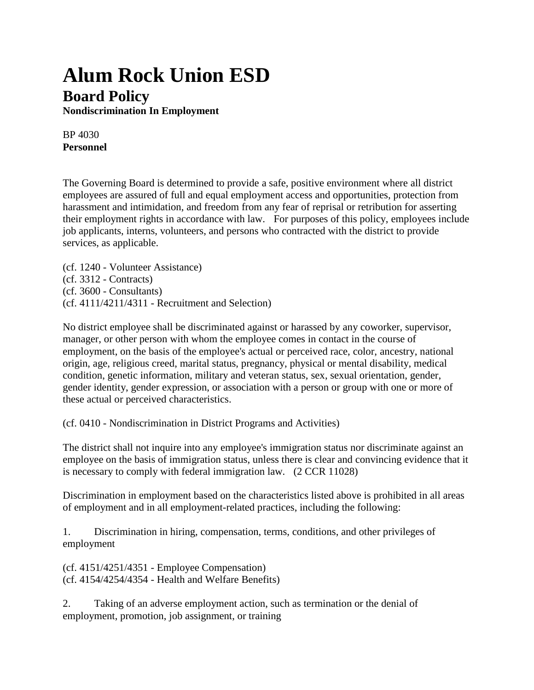## **Alum Rock Union ESD Board Policy**

**Nondiscrimination In Employment**

BP 4030 **Personnel**

The Governing Board is determined to provide a safe, positive environment where all district employees are assured of full and equal employment access and opportunities, protection from harassment and intimidation, and freedom from any fear of reprisal or retribution for asserting their employment rights in accordance with law. For purposes of this policy, employees include job applicants, interns, volunteers, and persons who contracted with the district to provide services, as applicable.

(cf. 1240 - Volunteer Assistance) (cf. 3312 - Contracts) (cf. 3600 - Consultants) (cf. 4111/4211/4311 - Recruitment and Selection)

No district employee shall be discriminated against or harassed by any coworker, supervisor, manager, or other person with whom the employee comes in contact in the course of employment, on the basis of the employee's actual or perceived race, color, ancestry, national origin, age, religious creed, marital status, pregnancy, physical or mental disability, medical condition, genetic information, military and veteran status, sex, sexual orientation, gender, gender identity, gender expression, or association with a person or group with one or more of these actual or perceived characteristics.

(cf. 0410 - Nondiscrimination in District Programs and Activities)

The district shall not inquire into any employee's immigration status nor discriminate against an employee on the basis of immigration status, unless there is clear and convincing evidence that it is necessary to comply with federal immigration law. (2 CCR 11028)

Discrimination in employment based on the characteristics listed above is prohibited in all areas of employment and in all employment-related practices, including the following:

1. Discrimination in hiring, compensation, terms, conditions, and other privileges of employment

(cf. 4151/4251/4351 - Employee Compensation) (cf. 4154/4254/4354 - Health and Welfare Benefits)

2. Taking of an adverse employment action, such as termination or the denial of employment, promotion, job assignment, or training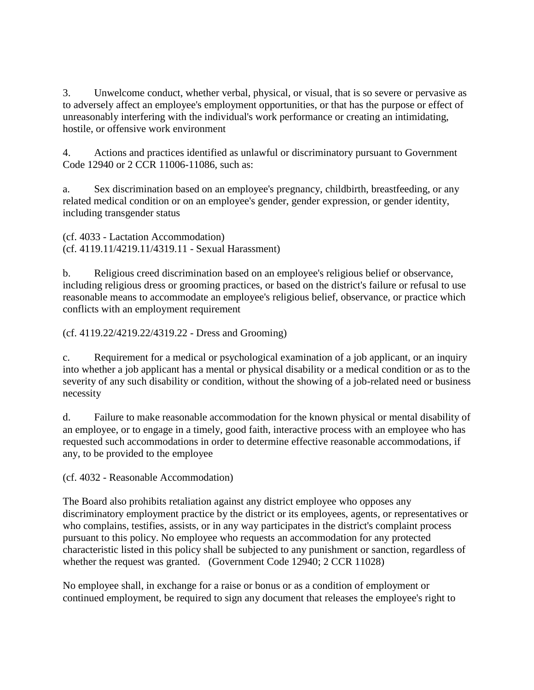3. Unwelcome conduct, whether verbal, physical, or visual, that is so severe or pervasive as to adversely affect an employee's employment opportunities, or that has the purpose or effect of unreasonably interfering with the individual's work performance or creating an intimidating, hostile, or offensive work environment

4. Actions and practices identified as unlawful or discriminatory pursuant to Government Code 12940 or 2 CCR 11006-11086, such as:

a. Sex discrimination based on an employee's pregnancy, childbirth, breastfeeding, or any related medical condition or on an employee's gender, gender expression, or gender identity, including transgender status

(cf. 4033 - Lactation Accommodation) (cf. 4119.11/4219.11/4319.11 - Sexual Harassment)

b. Religious creed discrimination based on an employee's religious belief or observance, including religious dress or grooming practices, or based on the district's failure or refusal to use reasonable means to accommodate an employee's religious belief, observance, or practice which conflicts with an employment requirement

(cf. 4119.22/4219.22/4319.22 - Dress and Grooming)

c. Requirement for a medical or psychological examination of a job applicant, or an inquiry into whether a job applicant has a mental or physical disability or a medical condition or as to the severity of any such disability or condition, without the showing of a job-related need or business necessity

d. Failure to make reasonable accommodation for the known physical or mental disability of an employee, or to engage in a timely, good faith, interactive process with an employee who has requested such accommodations in order to determine effective reasonable accommodations, if any, to be provided to the employee

(cf. 4032 - Reasonable Accommodation)

The Board also prohibits retaliation against any district employee who opposes any discriminatory employment practice by the district or its employees, agents, or representatives or who complains, testifies, assists, or in any way participates in the district's complaint process pursuant to this policy. No employee who requests an accommodation for any protected characteristic listed in this policy shall be subjected to any punishment or sanction, regardless of whether the request was granted. (Government Code 12940; 2 CCR 11028)

No employee shall, in exchange for a raise or bonus or as a condition of employment or continued employment, be required to sign any document that releases the employee's right to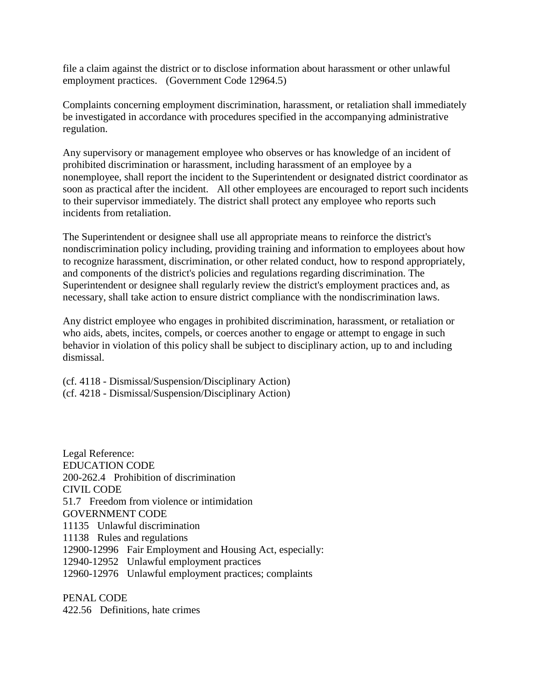file a claim against the district or to disclose information about harassment or other unlawful employment practices. (Government Code 12964.5)

Complaints concerning employment discrimination, harassment, or retaliation shall immediately be investigated in accordance with procedures specified in the accompanying administrative regulation.

Any supervisory or management employee who observes or has knowledge of an incident of prohibited discrimination or harassment, including harassment of an employee by a nonemployee, shall report the incident to the Superintendent or designated district coordinator as soon as practical after the incident. All other employees are encouraged to report such incidents to their supervisor immediately. The district shall protect any employee who reports such incidents from retaliation.

The Superintendent or designee shall use all appropriate means to reinforce the district's nondiscrimination policy including, providing training and information to employees about how to recognize harassment, discrimination, or other related conduct, how to respond appropriately, and components of the district's policies and regulations regarding discrimination. The Superintendent or designee shall regularly review the district's employment practices and, as necessary, shall take action to ensure district compliance with the nondiscrimination laws.

Any district employee who engages in prohibited discrimination, harassment, or retaliation or who aids, abets, incites, compels, or coerces another to engage or attempt to engage in such behavior in violation of this policy shall be subject to disciplinary action, up to and including dismissal.

(cf. 4118 - Dismissal/Suspension/Disciplinary Action) (cf. 4218 - Dismissal/Suspension/Disciplinary Action)

Legal Reference: EDUCATION CODE 200-262.4 Prohibition of discrimination CIVIL CODE 51.7 Freedom from violence or intimidation GOVERNMENT CODE 11135 Unlawful discrimination 11138 Rules and regulations 12900-12996 Fair Employment and Housing Act, especially: 12940-12952 Unlawful employment practices 12960-12976 Unlawful employment practices; complaints

PENAL CODE 422.56 Definitions, hate crimes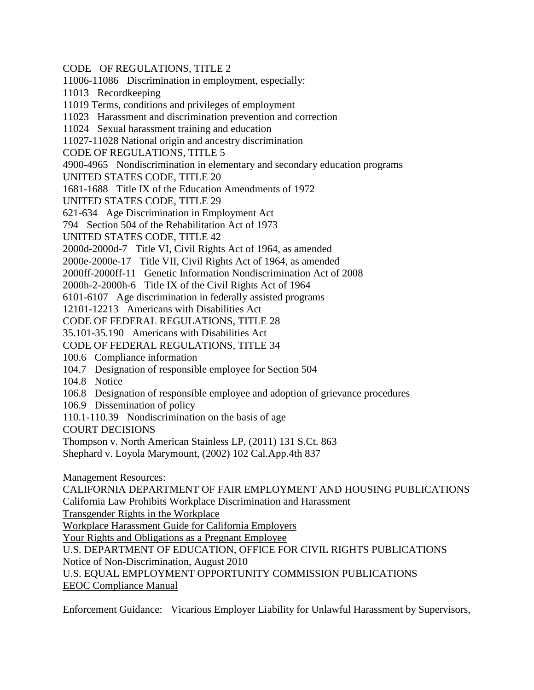- CODE OF REGULATIONS, TITLE 2
- 11006-11086 Discrimination in employment, especially:
- 11013 Recordkeeping
- 11019 Terms, conditions and privileges of employment
- 11023 Harassment and discrimination prevention and correction
- 11024 Sexual harassment training and education
- 11027-11028 National origin and ancestry discrimination
- CODE OF REGULATIONS, TITLE 5
- 4900-4965 Nondiscrimination in elementary and secondary education programs
- UNITED STATES CODE, TITLE 20
- 1681-1688 Title IX of the Education Amendments of 1972
- UNITED STATES CODE, TITLE 29
- 621-634 Age Discrimination in Employment Act
- 794 Section 504 of the Rehabilitation Act of 1973
- UNITED STATES CODE, TITLE 42
- 2000d-2000d-7 Title VI, Civil Rights Act of 1964, as amended
- 2000e-2000e-17 Title VII, Civil Rights Act of 1964, as amended
- 2000ff-2000ff-11 Genetic Information Nondiscrimination Act of 2008
- 2000h-2-2000h-6 Title IX of the Civil Rights Act of 1964
- 6101-6107 Age discrimination in federally assisted programs
- 12101-12213 Americans with Disabilities Act
- CODE OF FEDERAL REGULATIONS, TITLE 28
- 35.101-35.190 Americans with Disabilities Act
- CODE OF FEDERAL REGULATIONS, TITLE 34
- 100.6 Compliance information
- 104.7 Designation of responsible employee for Section 504
- 104.8 Notice
- 106.8 Designation of responsible employee and adoption of grievance procedures
- 106.9 Dissemination of policy
- 110.1-110.39 Nondiscrimination on the basis of age
- COURT DECISIONS
- Thompson v. North American Stainless LP, (2011) 131 S.Ct. 863
- Shephard v. Loyola Marymount, (2002) 102 Cal.App.4th 837
- Management Resources:
- CALIFORNIA DEPARTMENT OF FAIR EMPLOYMENT AND HOUSING PUBLICATIONS California Law Prohibits Workplace Discrimination and Harassment
- Transgender Rights in the Workplace
- Workplace Harassment Guide for California Employers
- Your Rights and Obligations as a Pregnant Employee
- U.S. DEPARTMENT OF EDUCATION, OFFICE FOR CIVIL RIGHTS PUBLICATIONS
- Notice of Non-Discrimination, August 2010
- U.S. EQUAL EMPLOYMENT OPPORTUNITY COMMISSION PUBLICATIONS
- EEOC Compliance Manual
- Enforcement Guidance: Vicarious Employer Liability for Unlawful Harassment by Supervisors,